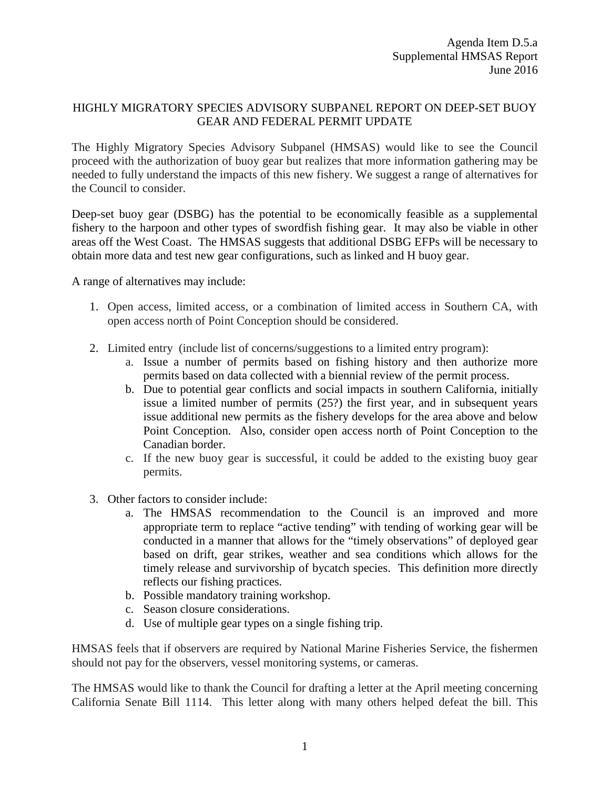## HIGHLY MIGRATORY SPECIES ADVISORY SUBPANEL REPORT ON DEEP-SET BUOY GEAR AND FEDERAL PERMIT UPDATE

The Highly Migratory Species Advisory Subpanel (HMSAS) would like to see the Council proceed with the authorization of buoy gear but realizes that more information gathering may be needed to fully understand the impacts of this new fishery. We suggest a range of alternatives for the Council to consider.

Deep-set buoy gear (DSBG) has the potential to be economically feasible as a supplemental fishery to the harpoon and other types of swordfish fishing gear. It may also be viable in other areas off the West Coast. The HMSAS suggests that additional DSBG EFPs will be necessary to obtain more data and test new gear configurations, such as linked and H buoy gear.

A range of alternatives may include:

- 1. Open access, limited access, or a combination of limited access in Southern CA, with open access north of Point Conception should be considered.
- 2. Limited entry (include list of concerns/suggestions to a limited entry program):
	- a. Issue a number of permits based on fishing history and then authorize more permits based on data collected with a biennial review of the permit process.
	- b. Due to potential gear conflicts and social impacts in southern California, initially issue a limited number of permits (25?) the first year, and in subsequent years issue additional new permits as the fishery develops for the area above and below Point Conception. Also, consider open access north of Point Conception to the Canadian border.
	- c. If the new buoy gear is successful, it could be added to the existing buoy gear permits.
- 3. Other factors to consider include:
	- a. The HMSAS recommendation to the Council is an improved and more appropriate term to replace "active tending" with tending of working gear will be conducted in a manner that allows for the "timely observations" of deployed gear based on drift, gear strikes, weather and sea conditions which allows for the timely release and survivorship of bycatch species. This definition more directly reflects our fishing practices.
	- b. Possible mandatory training workshop.
	- c. Season closure considerations.
	- d. Use of multiple gear types on a single fishing trip.

HMSAS feels that if observers are required by National Marine Fisheries Service, the fishermen should not pay for the observers, vessel monitoring systems, or cameras.

The HMSAS would like to thank the Council for drafting a letter at the April meeting concerning California Senate Bill 1114. This letter along with many others helped defeat the bill. This